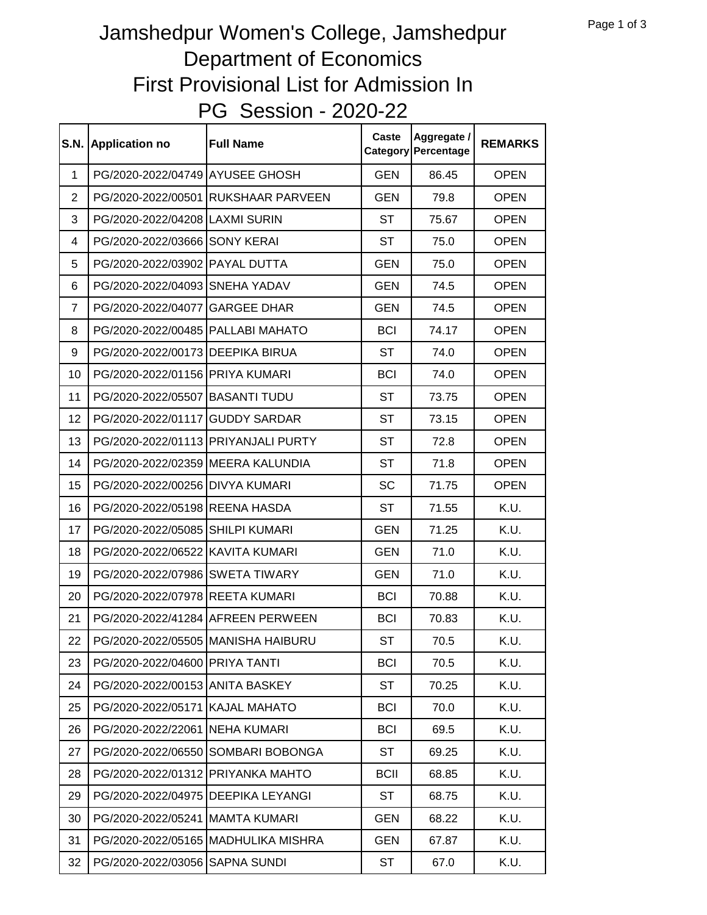## PG Session - 2020-22 Jamshedpur Women's College, Jamshedpur Department of Economics First Provisional List for Admission In

| S.N.           | <b>Application no</b>             | <b>Full Name</b>                      | Caste<br>Category | Aggregate /<br>Percentage | <b>REMARKS</b> |
|----------------|-----------------------------------|---------------------------------------|-------------------|---------------------------|----------------|
| 1              | PG/2020-2022/04749 AYUSEE GHOSH   |                                       | <b>GEN</b>        | 86.45                     | <b>OPEN</b>    |
| $\overline{2}$ | PG/2020-2022/00501                | <b>RUKSHAAR PARVEEN</b>               | <b>GEN</b>        | 79.8                      | <b>OPEN</b>    |
| 3              | PG/2020-2022/04208                | <b>LAXMI SURIN</b>                    | <b>ST</b>         | 75.67                     | <b>OPEN</b>    |
| 4              | PG/2020-2022/03666                | <b>SONY KERAI</b>                     | <b>ST</b>         | 75.0                      | <b>OPEN</b>    |
| 5              | PG/2020-2022/03902                | <b>PAYAL DUTTA</b>                    | <b>GEN</b>        | 75.0                      | <b>OPEN</b>    |
| 6              | PG/2020-2022/04093                | <b>SNEHA YADAV</b>                    | <b>GEN</b>        | 74.5                      | <b>OPEN</b>    |
| $\overline{7}$ | PG/2020-2022/04077                | <b>GARGEE DHAR</b>                    | <b>GEN</b>        | 74.5                      | <b>OPEN</b>    |
| 8              | PG/2020-2022/00485                | <b>PALLABI MAHATO</b>                 | <b>BCI</b>        | 74.17                     | <b>OPEN</b>    |
| 9              | PG/2020-2022/00173                | <b>DEEPIKA BIRUA</b>                  | <b>ST</b>         | 74.0                      | <b>OPEN</b>    |
| 10             | PG/2020-2022/01156 PRIYA KUMARI   |                                       | <b>BCI</b>        | 74.0                      | <b>OPEN</b>    |
| 11             | PG/2020-2022/05507                | <b>BASANTI TUDU</b>                   | <b>ST</b>         | 73.75                     | <b>OPEN</b>    |
| 12             | PG/2020-2022/01117                | <b>GUDDY SARDAR</b>                   | <b>ST</b>         | 73.15                     | <b>OPEN</b>    |
| 13             | PG/2020-2022/01113                | <b>PRIYANJALI PURTY</b>               | <b>ST</b>         | 72.8                      | <b>OPEN</b>    |
| 14             | PG/2020-2022/02359                | <b>MEERA KALUNDIA</b>                 | <b>ST</b>         | 71.8                      | <b>OPEN</b>    |
| 15             | PG/2020-2022/00256                | <b>DIVYA KUMARI</b>                   | <b>SC</b>         | 71.75                     | <b>OPEN</b>    |
| 16             | PG/2020-2022/05198                | <b>REENA HASDA</b>                    | <b>ST</b>         | 71.55                     | K.U.           |
| 17             | PG/2020-2022/05085                | <b>SHILPI KUMARI</b>                  | <b>GEN</b>        | 71.25                     | K.U.           |
| 18             | PG/2020-2022/06522                | <b>KAVITA KUMARI</b>                  | <b>GEN</b>        | 71.0                      | K.U.           |
| 19             | PG/2020-2022/07986                | <b>SWETA TIWARY</b>                   | <b>GEN</b>        | 71.0                      | K.U.           |
| 20             | PG/2020-2022/07978 REETA KUMARI   |                                       | <b>BCI</b>        | 70.88                     | K.U.           |
| 21             | PG/2020-2022/41284 AFREEN PERWEEN |                                       | <b>BCI</b>        | 70.83                     | K.U.           |
| 22             |                                   | PG/2020-2022/05505 MANISHA HAIBURU    | <b>ST</b>         | 70.5                      | K.U.           |
| 23             | PG/2020-2022/04600 PRIYA TANTI    |                                       | <b>BCI</b>        | 70.5                      | K.U.           |
| 24             | PG/2020-2022/00153                | <b>ANITA BASKEY</b>                   | <b>ST</b>         | 70.25                     | K.U.           |
| 25             | PG/2020-2022/05171                | <b>KAJAL MAHATO</b>                   | <b>BCI</b>        | 70.0                      | K.U.           |
| 26             | PG/2020-2022/22061                | <b>NEHA KUMARI</b>                    | <b>BCI</b>        | 69.5                      | K.U.           |
| 27             | PG/2020-2022/06550                | <b>SOMBARI BOBONGA</b>                | <b>ST</b>         | 69.25                     | K.U.           |
| 28             | PG/2020-2022/01312 PRIYANKA MAHTO |                                       | <b>BCII</b>       | 68.85                     | K.U.           |
| 29             | PG/2020-2022/04975                | <b>DEEPIKA LEYANGI</b>                | <b>ST</b>         | 68.75                     | K.U.           |
| 30             | PG/2020-2022/05241                | <b>MAMTA KUMARI</b>                   | <b>GEN</b>        | 68.22                     | K.U.           |
| 31             |                                   | PG/2020-2022/05165   MADHULIKA MISHRA | <b>GEN</b>        | 67.87                     | K.U.           |
| 32             | PG/2020-2022/03056                | <b>SAPNA SUNDI</b>                    | <b>ST</b>         | 67.0                      | K.U.           |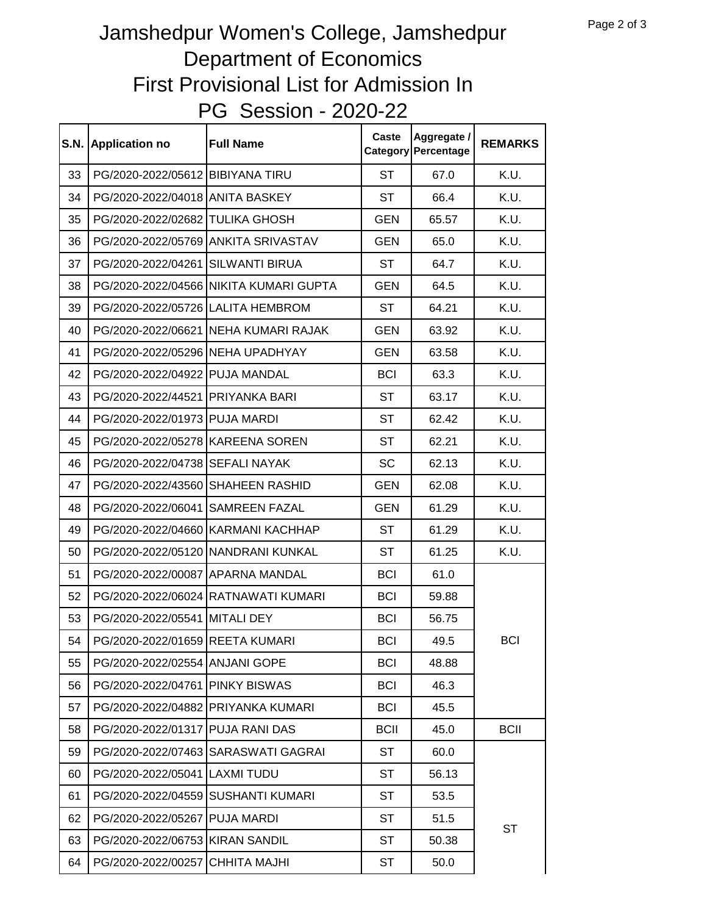## PG Session - 2020-22 Jamshedpur Women's College, Jamshedpur Department of Economics First Provisional List for Admission In

| <b>S.N.</b> | <b>Application no</b>             | <b>Full Name</b>                    | <b>Caste</b> | Aggregate /<br><b>Category Percentage</b> | <b>REMARKS</b> |
|-------------|-----------------------------------|-------------------------------------|--------------|-------------------------------------------|----------------|
| 33          | PG/2020-2022/05612 BIBIYANA TIRU  |                                     | <b>ST</b>    | 67.0                                      | K.U.           |
| 34          | PG/2020-2022/04018 ANITA BASKEY   |                                     | <b>ST</b>    | 66.4                                      | K.U.           |
| 35          | PG/2020-2022/02682                | <b>TULIKA GHOSH</b>                 | <b>GEN</b>   | 65.57                                     | K.U.           |
| 36          |                                   | PG/2020-2022/05769 ANKITA SRIVASTAV | <b>GEN</b>   | 65.0                                      | K.U.           |
| 37          | PG/2020-2022/04261                | <b>SILWANTI BIRUA</b>               | <b>ST</b>    | 64.7                                      | K.U.           |
| 38          | PG/2020-2022/04566                | NIKITA KUMARI GUPTA                 | <b>GEN</b>   | 64.5                                      | K.U.           |
| 39          | PG/2020-2022/05726 LALITA HEMBROM |                                     | <b>ST</b>    | 64.21                                     | K.U.           |
| 40          | PG/2020-2022/06621                | <b>NEHA KUMARI RAJAK</b>            | <b>GEN</b>   | 63.92                                     | K.U.           |
| 41          | PG/2020-2022/05296 NEHA UPADHYAY  |                                     | <b>GEN</b>   | 63.58                                     | K.U.           |
| 42          | PG/2020-2022/04922                | PUJA MANDAL                         | <b>BCI</b>   | 63.3                                      | K.U.           |
| 43          | PG/2020-2022/44521                | PRIYANKA BARI                       | <b>ST</b>    | 63.17                                     | K.U.           |
| 44          | PG/2020-2022/01973 PUJA MARDI     |                                     | <b>ST</b>    | 62.42                                     | K.U.           |
| 45          | PG/2020-2022/05278 KAREENA SOREN  |                                     | <b>ST</b>    | 62.21                                     | K.U.           |
| 46          | PG/2020-2022/04738 SEFALI NAYAK   |                                     | <b>SC</b>    | 62.13                                     | K.U.           |
| 47          | PG/2020-2022/43560                | <b>SHAHEEN RASHID</b>               | <b>GEN</b>   | 62.08                                     | K.U.           |
| 48          | PG/2020-2022/06041                | <b>SAMREEN FAZAL</b>                | <b>GEN</b>   | 61.29                                     | K.U.           |
| 49          |                                   | PG/2020-2022/04660 KARMANI KACHHAP  | <b>ST</b>    | 61.29                                     | K.U.           |
| 50          |                                   | PG/2020-2022/05120 NANDRANI KUNKAL  | <b>ST</b>    | 61.25                                     | K.U.           |
| 51          | PG/2020-2022/00087 APARNA MANDAL  |                                     | <b>BCI</b>   | 61.0                                      |                |
| 52          |                                   | PG/2020-2022/06024 RATNAWATI KUMARI | <b>BCI</b>   | 59.88                                     |                |
| 53          | PG/2020-2022/05541                | <b>MITALI DEY</b>                   | <b>BCI</b>   | 56.75                                     |                |
| 54          | PG/2020-2022/01659 REETA KUMARI   |                                     | <b>BCI</b>   | 49.5                                      | <b>BCI</b>     |
| 55          | PG/2020-2022/02554 ANJANI GOPE    |                                     | <b>BCI</b>   | 48.88                                     |                |
| 56          | PG/2020-2022/04761 PINKY BISWAS   |                                     | <b>BCI</b>   | 46.3                                      |                |
| 57          | PG/2020-2022/04882                | PRIYANKA KUMARI                     | <b>BCI</b>   | 45.5                                      |                |
| 58          | PG/2020-2022/01317                | PUJA RANI DAS                       | <b>BCII</b>  | 45.0                                      | <b>BCII</b>    |
| 59          |                                   | PG/2020-2022/07463 SARASWATI GAGRAI | <b>ST</b>    | 60.0                                      |                |
| 60          | PG/2020-2022/05041                | <b>LAXMI TUDU</b>                   | ST           | 56.13                                     |                |
| 61          | PG/2020-2022/04559                | <b>SUSHANTI KUMARI</b>              | ST           | 53.5                                      |                |
| 62          | PG/2020-2022/05267                | <b>PUJA MARDI</b>                   | <b>ST</b>    | 51.5                                      |                |
| 63          | PG/2020-2022/06753 KIRAN SANDIL   |                                     | <b>ST</b>    | 50.38                                     | <b>ST</b>      |
| 64          | PG/2020-2022/00257                | <b>CHHITA MAJHI</b>                 | ST           | 50.0                                      |                |